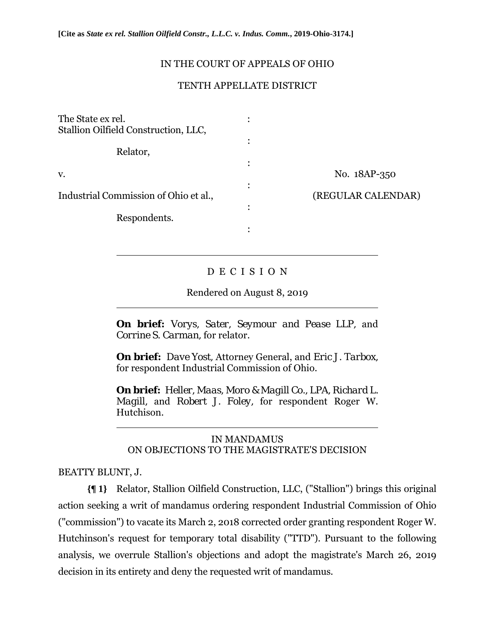## IN THE COURT OF APPEALS OF OHIO

## TENTH APPELLATE DISTRICT

| The State ex rel.<br>Stallion Oilfield Construction, LLC, |                         |
|-----------------------------------------------------------|-------------------------|
| Relator,                                                  |                         |
| V.                                                        | No. 18AP-350            |
| Industrial Commission of Ohio et al.,                     | (REGULAR CALENDAR)<br>٠ |
| Respondents.                                              |                         |

# D E C I S I O N

Rendered on August 8, 2019

**On brief:** *Vorys, Sater, Seymour and Pease LLP,* and *Corrine S. Carman,* for relator.

**On brief:** *Dave Yost,* Attorney General, and *Eric J. Tarbox,*  for respondent Industrial Commission of Ohio.

**On brief:** *Heller, Maas, Moro & Magill Co., LPA, Richard L. Magill,* and *Robert J. Foley,* for respondent Roger W. Hutchison.

IN MANDAMUS ON OBJECTIONS TO THE MAGISTRATE'S DECISION

## BEATTY BLUNT, J.

 $\overline{a}$ 

 $\overline{a}$ 

 $\overline{a}$ 

**{¶ 1}** Relator, Stallion Oilfield Construction, LLC, ("Stallion") brings this original action seeking a writ of mandamus ordering respondent Industrial Commission of Ohio ("commission") to vacate its March 2, 2018 corrected order granting respondent Roger W. Hutchinson's request for temporary total disability ("TTD"). Pursuant to the following analysis, we overrule Stallion's objections and adopt the magistrate's March 26, 2019 decision in its entirety and deny the requested writ of mandamus.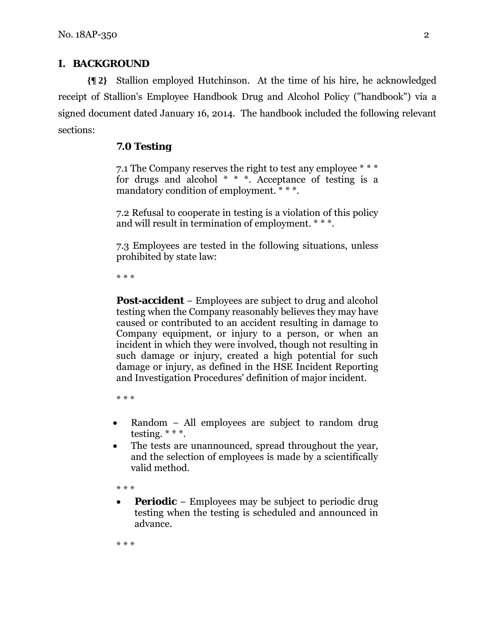# **I. BACKGROUND**

**{¶ 2}** Stallion employed Hutchinson. At the time of his hire, he acknowledged receipt of Stallion's Employee Handbook Drug and Alcohol Policy ("handbook") via a signed document dated January 16, 2014. The handbook included the following relevant sections:

# **7.0 Testing**

7.1 The Company reserves the right to test any employee \* \* \* for drugs and alcohol  $* * *$ . Acceptance of testing is a mandatory condition of employment. \* \* \*.

7.2 Refusal to cooperate in testing is a violation of this policy and will result in termination of employment. \* \* \*.

7.3 Employees are tested in the following situations, unless prohibited by state law:

\* \* \*

**Post-accident** − Employees are subject to drug and alcohol testing when the Company reasonably believes they may have caused or contributed to an accident resulting in damage to Company equipment, or injury to a person, or when an incident in which they were involved, though not resulting in such damage or injury, created a high potential for such damage or injury, as defined in the HSE Incident Reporting and Investigation Procedures' definition of major incident.

\* \* \*

- Random − All employees are subject to random drug testing.  $***$ .
- The tests are unannounced, spread throughout the year, and the selection of employees is made by a scientifically valid method.

\* \* \*

 **Periodic** − Employees may be subject to periodic drug testing when the testing is scheduled and announced in advance.

\* \* \*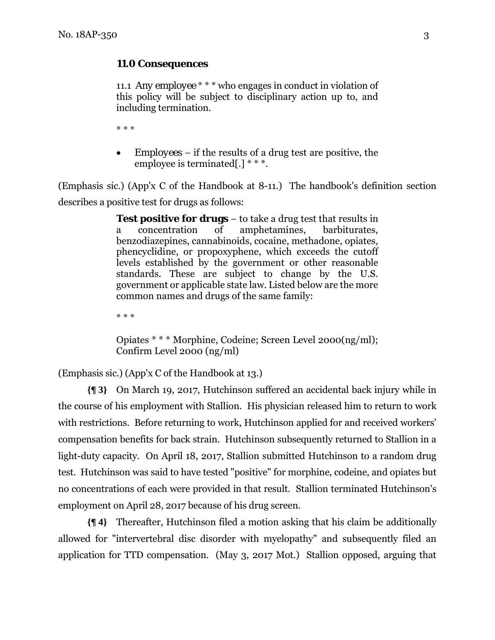## **11.0 Consequences**

11.1 *Any employee* \* \* \* who engages in conduct in violation of this policy will be subject to disciplinary action up to, and including termination.

\* \* \*

 *Employees* − if the results of a drug test are positive, the employee is terminated[.] \* \* \*.

(Emphasis sic.) (App'x C of the Handbook at 8-11.) The handbook's definition section describes a positive test for drugs as follows:

> **Test positive for drugs** − to take a drug test that results in a concentration of amphetamines, barbiturates, benzodiazepines, cannabinoids, cocaine, methadone, opiates, phencyclidine, or propoxyphene, which exceeds the cutoff levels established by the government or other reasonable standards. These are subject to change by the U.S. government or applicable state law. Listed below are the more common names and drugs of the same family:

\* \* \*

Opiates \* \* \* Morphine, Codeine; Screen Level 2000(ng/ml); Confirm Level 2000 (ng/ml)

(Emphasis sic.) (App'x C of the Handbook at 13.)

**{¶ 3}** On March 19, 2017, Hutchinson suffered an accidental back injury while in the course of his employment with Stallion. His physician released him to return to work with restrictions. Before returning to work, Hutchinson applied for and received workers' compensation benefits for back strain. Hutchinson subsequently returned to Stallion in a light-duty capacity. On April 18, 2017, Stallion submitted Hutchinson to a random drug test. Hutchinson was said to have tested "positive" for morphine, codeine, and opiates but no concentrations of each were provided in that result. Stallion terminated Hutchinson's employment on April 28, 2017 because of his drug screen.

**{¶ 4}** Thereafter, Hutchinson filed a motion asking that his claim be additionally allowed for "intervertebral disc disorder with myelopathy" and subsequently filed an application for TTD compensation. (May 3, 2017 Mot.) Stallion opposed, arguing that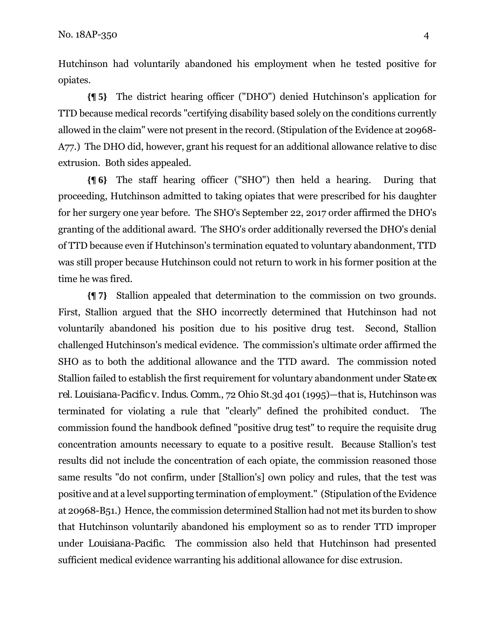Hutchinson had voluntarily abandoned his employment when he tested positive for opiates.

**{¶ 5}** The district hearing officer ("DHO") denied Hutchinson's application for TTD because medical records "certifying disability based solely on the conditions currently allowed in the claim" were not present in the record. (Stipulation of the Evidence at 20968- A77.) The DHO did, however, grant his request for an additional allowance relative to disc extrusion. Both sides appealed.

**{¶ 6}** The staff hearing officer ("SHO") then held a hearing. During that proceeding, Hutchinson admitted to taking opiates that were prescribed for his daughter for her surgery one year before. The SHO's September 22, 2017 order affirmed the DHO's granting of the additional award. The SHO's order additionally reversed the DHO's denial of TTD because even if Hutchinson's termination equated to voluntary abandonment, TTD was still proper because Hutchinson could not return to work in his former position at the time he was fired.

**{¶ 7}** Stallion appealed that determination to the commission on two grounds. First, Stallion argued that the SHO incorrectly determined that Hutchinson had not voluntarily abandoned his position due to his positive drug test. Second, Stallion challenged Hutchinson's medical evidence. The commission's ultimate order affirmed the SHO as to both the additional allowance and the TTD award. The commission noted Stallion failed to establish the first requirement for voluntary abandonment under *State ex rel. Louisiana-Pacific v. Indus. Comm*., 72 Ohio St.3d 401 (1995)—that is, Hutchinson was terminated for violating a rule that "clearly" defined the prohibited conduct. The commission found the handbook defined "positive drug test" to require the requisite drug concentration amounts necessary to equate to a positive result. Because Stallion's test results did not include the concentration of each opiate, the commission reasoned those same results "do not confirm, under [Stallion's] own policy and rules, that the test was positive and at a level supporting termination of employment." (Stipulation of the Evidence at 20968-B51.) Hence, the commission determined Stallion had not met its burden to show that Hutchinson voluntarily abandoned his employment so as to render TTD improper under *Louisiana-Pacific*. The commission also held that Hutchinson had presented sufficient medical evidence warranting his additional allowance for disc extrusion.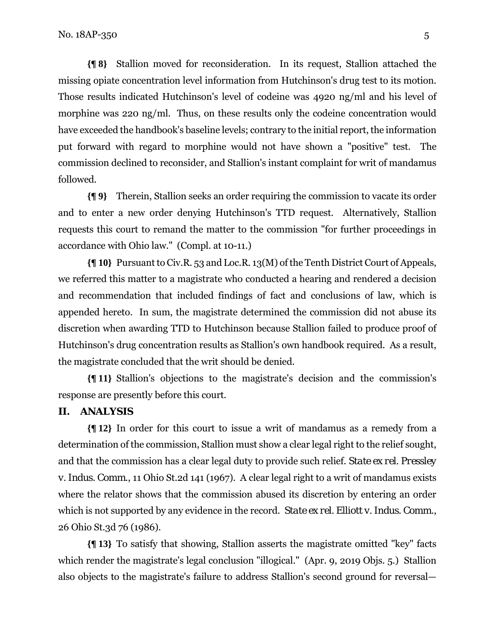**{¶ 8}** Stallion moved for reconsideration. In its request, Stallion attached the missing opiate concentration level information from Hutchinson's drug test to its motion. Those results indicated Hutchinson's level of codeine was 4920 ng/ml and his level of morphine was 220 ng/ml. Thus, on these results only the codeine concentration would have exceeded the handbook's baseline levels; contrary to the initial report, the information put forward with regard to morphine would not have shown a "positive" test. The commission declined to reconsider, and Stallion's instant complaint for writ of mandamus followed.

**{¶ 9}** Therein, Stallion seeks an order requiring the commission to vacate its order and to enter a new order denying Hutchinson's TTD request. Alternatively, Stallion requests this court to remand the matter to the commission "for further proceedings in accordance with Ohio law." (Compl. at 10-11.)

**{¶ 10}** Pursuant to Civ.R. 53 and Loc.R. 13(M) of the Tenth District Court of Appeals, we referred this matter to a magistrate who conducted a hearing and rendered a decision and recommendation that included findings of fact and conclusions of law, which is appended hereto. In sum, the magistrate determined the commission did not abuse its discretion when awarding TTD to Hutchinson because Stallion failed to produce proof of Hutchinson's drug concentration results as Stallion's own handbook required. As a result, the magistrate concluded that the writ should be denied.

**{¶ 11}** Stallion's objections to the magistrate's decision and the commission's response are presently before this court.

#### **II. ANALYSIS**

**{¶ 12}** In order for this court to issue a writ of mandamus as a remedy from a determination of the commission, Stallion must show a clear legal right to the relief sought, and that the commission has a clear legal duty to provide such relief. *State ex rel. Pressley v. Indus. Comm*., 11 Ohio St.2d 141 (1967). A clear legal right to a writ of mandamus exists where the relator shows that the commission abused its discretion by entering an order which is not supported by any evidence in the record. *State ex rel. Elliott v. Indus. Comm*., 26 Ohio St.3d 76 (1986).

**{¶ 13}** To satisfy that showing, Stallion asserts the magistrate omitted "key" facts which render the magistrate's legal conclusion "illogical." (Apr. 9, 2019 Objs. 5.) Stallion also objects to the magistrate's failure to address Stallion's second ground for reversal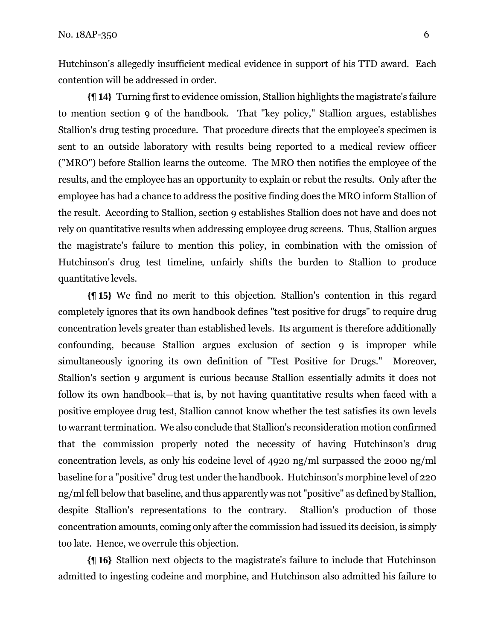Hutchinson's allegedly insufficient medical evidence in support of his TTD award. Each contention will be addressed in order.

**{¶ 14}** Turning first to evidence omission, Stallion highlights the magistrate's failure to mention section 9 of the handbook. That "key policy," Stallion argues, establishes Stallion's drug testing procedure. That procedure directs that the employee's specimen is sent to an outside laboratory with results being reported to a medical review officer ("MRO") before Stallion learns the outcome. The MRO then notifies the employee of the results, and the employee has an opportunity to explain or rebut the results.Only after the employee has had a chance to address the positive finding does the MRO inform Stallion of the result. According to Stallion, section 9 establishes Stallion does not have and does not rely on quantitative results when addressing employee drug screens. Thus, Stallion argues the magistrate's failure to mention this policy, in combination with the omission of Hutchinson's drug test timeline, unfairly shifts the burden to Stallion to produce quantitative levels.

**{¶ 15}** We find no merit to this objection. Stallion's contention in this regard completely ignores that its own handbook defines "test positive for drugs" to require drug concentration levels greater than established levels. Its argument is therefore additionally confounding, because Stallion argues exclusion of section 9 is improper while simultaneously ignoring its own definition of "Test Positive for Drugs." Moreover, Stallion's section 9 argument is curious because Stallion essentially admits it does not follow its own handbook—that is, by not having quantitative results when faced with a positive employee drug test, Stallion cannot know whether the test satisfies its own levels to warrant termination. We also conclude that Stallion's reconsideration motion confirmed that the commission properly noted the necessity of having Hutchinson's drug concentration levels, as only his codeine level of 4920 ng/ml surpassed the 2000 ng/ml baseline for a "positive" drug test under the handbook. Hutchinson's morphine level of 220 ng/ml fell below that baseline, and thus apparently was not "positive" as defined by Stallion, despite Stallion's representations to the contrary. Stallion's production of those concentration amounts, coming only after the commission had issued its decision, is simply too late. Hence, we overrule this objection.

**{¶ 16}** Stallion next objects to the magistrate's failure to include that Hutchinson admitted to ingesting codeine and morphine, and Hutchinson also admitted his failure to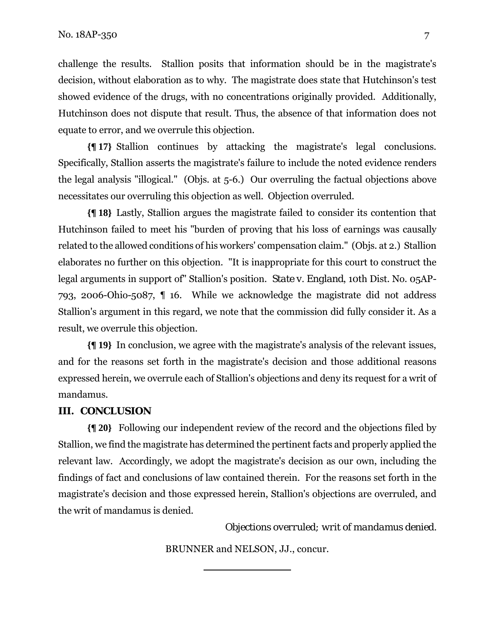challenge the results. Stallion posits that information should be in the magistrate's decision, without elaboration as to why. The magistrate does state that Hutchinson's test showed evidence of the drugs, with no concentrations originally provided. Additionally, Hutchinson does not dispute that result. Thus, the absence of that information does not equate to error, and we overrule this objection.

**{¶ 17}** Stallion continues by attacking the magistrate's legal conclusions. Specifically, Stallion asserts the magistrate's failure to include the noted evidence renders the legal analysis "illogical." (Objs. at 5-6.) Our overruling the factual objections above necessitates our overruling this objection as well. Objection overruled.

**{¶ 18}** Lastly, Stallion argues the magistrate failed to consider its contention that Hutchinson failed to meet his "burden of proving that his loss of earnings was causally related to the allowed conditions of his workers' compensation claim." (Objs. at 2.) Stallion elaborates no further on this objection. "It is inappropriate for this court to construct the legal arguments in support of" Stallion's position. *State v. England*, 10th Dist. No. 05AP-793, 2006-Ohio-5087, ¶ 16. While we acknowledge the magistrate did not address Stallion's argument in this regard, we note that the commission did fully consider it. As a result, we overrule this objection.

**{¶ 19}** In conclusion, we agree with the magistrate's analysis of the relevant issues, and for the reasons set forth in the magistrate's decision and those additional reasons expressed herein, we overrule each of Stallion's objections and deny its request for a writ of mandamus.

## **III. CONCLUSION**

**{¶ 20}** Following our independent review of the record and the objections filed by Stallion, we find the magistrate has determined the pertinent facts and properly applied the relevant law. Accordingly, we adopt the magistrate's decision as our own, including the findings of fact and conclusions of law contained therein. For the reasons set forth in the magistrate's decision and those expressed herein, Stallion's objections are overruled, and the writ of mandamus is denied.

*Objections overruled; writ of mandamus denied.* 

BRUNNER and NELSON, JJ., concur.

l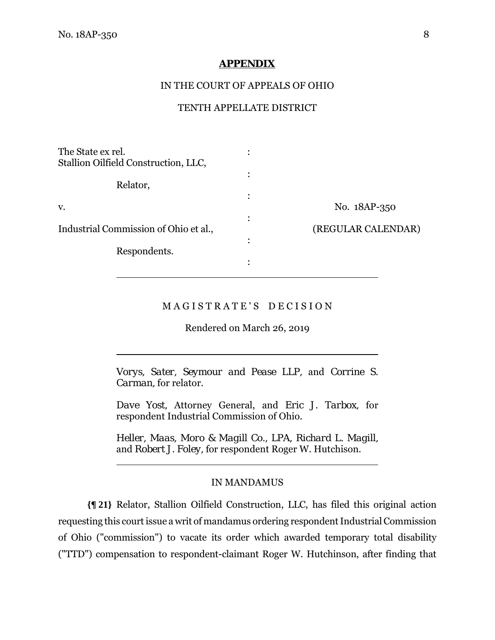$\overline{a}$ 

 $\overline{a}$ 

#### **APPENDIX**

#### IN THE COURT OF APPEALS OF OHIO

#### TENTH APPELLATE DISTRICT

| The State ex rel.                     |   |                    |
|---------------------------------------|---|--------------------|
| Stallion Oilfield Construction, LLC,  |   |                    |
|                                       |   |                    |
| Relator,                              |   |                    |
| V.                                    |   | No. 18AP-350       |
|                                       | ٠ |                    |
| Industrial Commission of Ohio et al., |   | (REGULAR CALENDAR) |
| Respondents.                          | ٠ |                    |
|                                       | ٠ |                    |
|                                       |   |                    |

## M A G I S T R A T E ' S D E C I S I O N

Rendered on March 26, 2019

*Vorys, Sater, Seymour and Pease LLP,* and *Corrine S. Carman,* for relator.

*Dave Yost,* Attorney General, and *Eric J. Tarbox,* for respondent Industrial Commission of Ohio.

*Heller, Maas, Moro & Magill Co., LPA, Richard L. Magill,*  and *Robert J. Foley,* for respondent Roger W. Hutchison.

#### IN MANDAMUS

**{¶ 21}** Relator, Stallion Oilfield Construction, LLC, has filed this original action requesting this court issue a writ of mandamus ordering respondent Industrial Commission of Ohio ("commission") to vacate its order which awarded temporary total disability ("TTD") compensation to respondent-claimant Roger W. Hutchinson, after finding that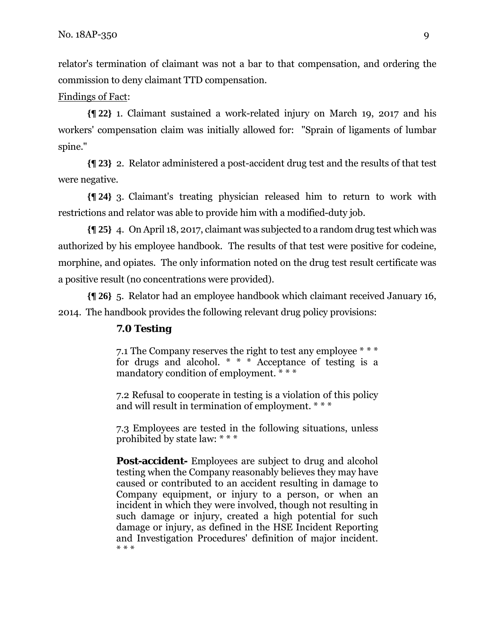relator's termination of claimant was not a bar to that compensation, and ordering the commission to deny claimant TTD compensation.

#### Findings of Fact:

**{¶ 22}** 1. Claimant sustained a work-related injury on March 19, 2017 and his workers' compensation claim was initially allowed for: "Sprain of ligaments of lumbar spine."

**{¶ 23}** 2. Relator administered a post-accident drug test and the results of that test were negative.

**{¶ 24}** 3. Claimant's treating physician released him to return to work with restrictions and relator was able to provide him with a modified-duty job.

**{¶ 25}** 4. On April 18, 2017, claimant was subjected to a random drug test which was authorized by his employee handbook. The results of that test were positive for codeine, morphine, and opiates. The only information noted on the drug test result certificate was a positive result (no concentrations were provided).

**{¶ 26}** 5. Relator had an employee handbook which claimant received January 16, 2014. The handbook provides the following relevant drug policy provisions:

## **7.0 Testing**

7.1 The Company reserves the right to test any employee \* \* \* for drugs and alcohol. \* \* \* Acceptance of testing is a mandatory condition of employment. \* \* \*

7.2 Refusal to cooperate in testing is a violation of this policy and will result in termination of employment. \* \* \*

7.3 Employees are tested in the following situations, unless prohibited by state law: \* \* \*

**Post-accident-** Employees are subject to drug and alcohol testing when the Company reasonably believes they may have caused or contributed to an accident resulting in damage to Company equipment, or injury to a person, or when an incident in which they were involved, though not resulting in such damage or injury, created a high potential for such damage or injury, as defined in the HSE Incident Reporting and Investigation Procedures' definition of major incident. \* \* \*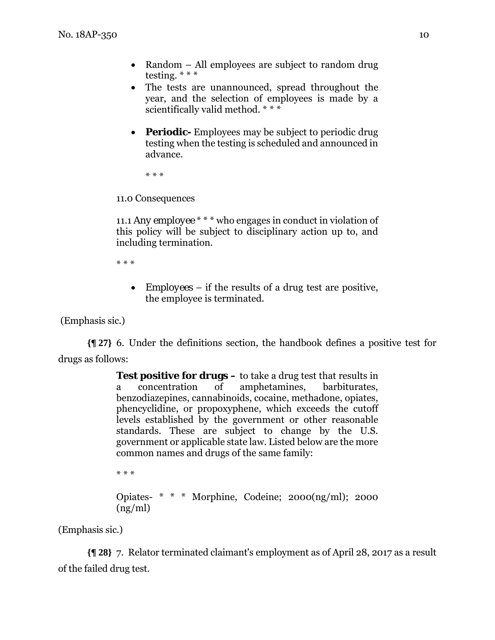- Random All employees are subject to random drug testing. \* \* \*
- The tests are unannounced, spread throughout the year, and the selection of employees is made by a scientifically valid method. \* \* \*
- **Periodic-** Employees may be subject to periodic drug testing when the testing is scheduled and announced in advance.

\* \* \*

11.0 Consequences

11.1 *Any employee* \* \* \* who engages in conduct in violation of this policy will be subject to disciplinary action up to, and including termination.

\* \* \*

 *Employees* – if the results of a drug test are positive, the employee is terminated.

(Emphasis sic.)

**{¶ 27}** 6. Under the definitions section, the handbook defines a positive test for drugs as follows:

> **Test positive for drugs –** to take a drug test that results in a concentration of amphetamines, barbiturates, benzodiazepines, cannabinoids, cocaine, methadone, opiates, phencyclidine, or propoxyphene, which exceeds the cutoff levels established by the government or other reasonable standards. These are subject to change by the U.S. government or applicable state law. Listed below are the more common names and drugs of the same family:

\* \* \* Opiates- \* \* \* Morphine, Codeine; 2000(ng/ml); 2000 (ng/ml)

(Emphasis sic.)

**{¶ 28}** 7. Relator terminated claimant's employment as of April 28, 2017 as a result of the failed drug test.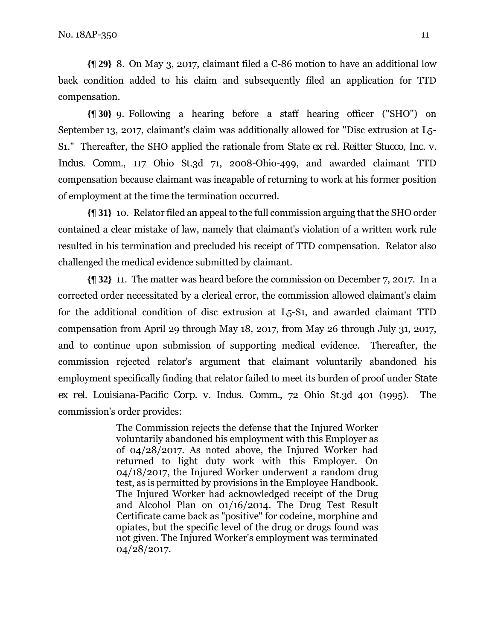**{¶ 29}** 8. On May 3, 2017, claimant filed a C-86 motion to have an additional low back condition added to his claim and subsequently filed an application for TTD compensation.

**{¶ 30}** 9. Following a hearing before a staff hearing officer ("SHO") on September 13, 2017, claimant's claim was additionally allowed for "Disc extrusion at L5- S1." Thereafter, the SHO applied the rationale from *State ex rel. Reitter Stucco, Inc. v. Indus. Comm.*, 117 Ohio St.3d 71, 2008-Ohio-499, and awarded claimant TTD compensation because claimant was incapable of returning to work at his former position of employment at the time the termination occurred.

**{¶ 31}** 10. Relator filed an appeal to the full commission arguing that the SHO order contained a clear mistake of law, namely that claimant's violation of a written work rule resulted in his termination and precluded his receipt of TTD compensation. Relator also challenged the medical evidence submitted by claimant.

**{¶ 32}** 11. The matter was heard before the commission on December 7, 2017. In a corrected order necessitated by a clerical error, the commission allowed claimant's claim for the additional condition of disc extrusion at L5-S1, and awarded claimant TTD compensation from April 29 through May 18, 2017, from May 26 through July 31, 2017, and to continue upon submission of supporting medical evidence. Thereafter, the commission rejected relator's argument that claimant voluntarily abandoned his employment specifically finding that relator failed to meet its burden of proof under *State ex rel. Louisiana-Pacific Corp. v. Indus. Comm.*, 72 Ohio St.3d 401 (1995). The commission's order provides:

> The Commission rejects the defense that the Injured Worker voluntarily abandoned his employment with this Employer as of 04/28/2017. As noted above, the Injured Worker had returned to light duty work with this Employer. On 04/18/2017, the Injured Worker underwent a random drug test, as is permitted by provisions in the Employee Handbook. The Injured Worker had acknowledged receipt of the Drug and Alcohol Plan on 01/16/2014. The Drug Test Result Certificate came back as "positive" for codeine, morphine and opiates, but the specific level of the drug or drugs found was not given. The Injured Worker's employment was terminated 04/28/2017.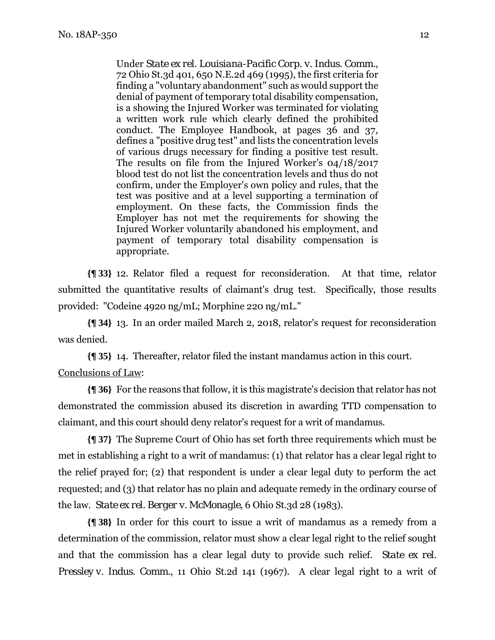Under *State ex rel. Louisiana-Pacific Corp. v. Indus. Comm.*, 72 Ohio St.3d 401, 650 N.E.2d 469 (1995), the first criteria for finding a "voluntary abandonment" such as would support the denial of payment of temporary total disability compensation, is a showing the Injured Worker was terminated for violating a written work rule which clearly defined the prohibited conduct. The Employee Handbook, at pages 36 and 37, defines a "positive drug test" and lists the concentration levels of various drugs necessary for finding a positive test result. The results on file from the Injured Worker's 04/18/2017 blood test do not list the concentration levels and thus do not confirm, under the Employer's own policy and rules, that the test was positive and at a level supporting a termination of employment. On these facts, the Commission finds the Employer has not met the requirements for showing the Injured Worker voluntarily abandoned his employment, and payment of temporary total disability compensation is appropriate.

**{¶ 33}** 12. Relator filed a request for reconsideration. At that time, relator submitted the quantitative results of claimant's drug test. Specifically, those results provided: "Codeine 4920 ng/mL; Morphine 220 ng/mL."

**{¶ 34}** 13. In an order mailed March 2, 2018, relator's request for reconsideration was denied.

**{¶ 35}** 14. Thereafter, relator filed the instant mandamus action in this court. Conclusions of Law:

**{¶ 36}** For the reasons that follow, it is this magistrate's decision that relator has not demonstrated the commission abused its discretion in awarding TTD compensation to claimant, and this court should deny relator's request for a writ of mandamus.

**{¶ 37}** The Supreme Court of Ohio has set forth three requirements which must be met in establishing a right to a writ of mandamus: (1) that relator has a clear legal right to the relief prayed for; (2) that respondent is under a clear legal duty to perform the act requested; and (3) that relator has no plain and adequate remedy in the ordinary course of the law. *State ex rel. Berger v. McMonagle*, 6 Ohio St.3d 28 (1983).

**{¶ 38}** In order for this court to issue a writ of mandamus as a remedy from a determination of the commission, relator must show a clear legal right to the relief sought and that the commission has a clear legal duty to provide such relief. *State ex rel. Pressley v. Indus. Comm.*, 11 Ohio St.2d 141 (1967). A clear legal right to a writ of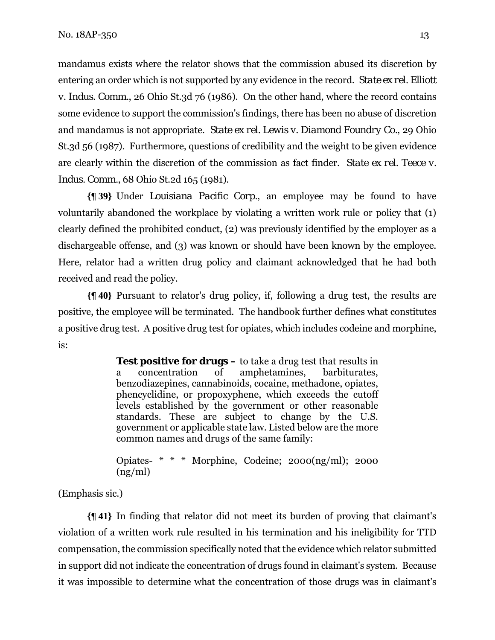mandamus exists where the relator shows that the commission abused its discretion by entering an order which is not supported by any evidence in the record. *State ex rel. Elliott v. Indus. Comm.*, 26 Ohio St.3d 76 (1986). On the other hand, where the record contains some evidence to support the commission's findings, there has been no abuse of discretion and mandamus is not appropriate. *State ex rel. Lewis v. Diamond Foundry Co.*, 29 Ohio St.3d 56 (1987). Furthermore, questions of credibility and the weight to be given evidence are clearly within the discretion of the commission as fact finder. *State ex rel. Teece v. Indus. Comm.*, 68 Ohio St.2d 165 (1981).

**{¶ 39}** Under *Louisiana Pacific Corp.*, an employee may be found to have voluntarily abandoned the workplace by violating a written work rule or policy that (1) clearly defined the prohibited conduct, (2) was previously identified by the employer as a dischargeable offense, and (3) was known or should have been known by the employee. Here, relator had a written drug policy and claimant acknowledged that he had both received and read the policy.

**{¶ 40}** Pursuant to relator's drug policy, if, following a drug test, the results are positive, the employee will be terminated. The handbook further defines what constitutes a positive drug test. A positive drug test for opiates, which includes codeine and morphine, is:

> **Test positive for drugs –** to take a drug test that results in a concentration of amphetamines, barbiturates, benzodiazepines, cannabinoids, cocaine, methadone, opiates, phencyclidine, or propoxyphene, which exceeds the cutoff levels established by the government or other reasonable standards. These are subject to change by the U.S. government or applicable state law. Listed below are the more common names and drugs of the same family:

> Opiates- \* \* \* Morphine, Codeine; 2000(ng/ml); 2000 (ng/ml)

(Emphasis sic.)

**{¶ 41}** In finding that relator did not meet its burden of proving that claimant's violation of a written work rule resulted in his termination and his ineligibility for TTD compensation, the commission specifically noted that the evidence which relator submitted in support did not indicate the concentration of drugs found in claimant's system. Because it was impossible to determine what the concentration of those drugs was in claimant's